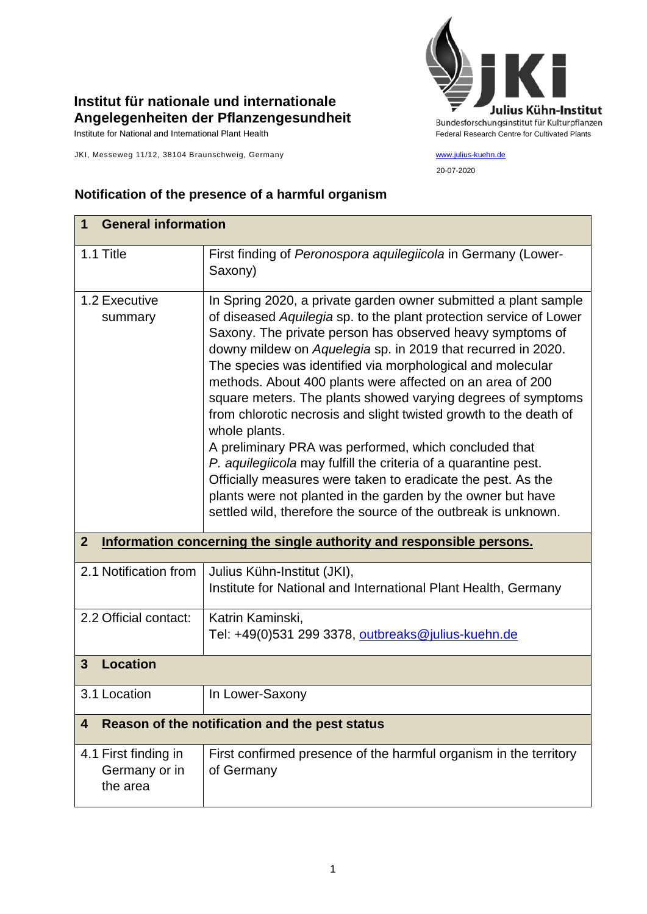

20-07-2020

## **Institut für nationale und internationale Angelegenheiten der Pflanzengesundheit**

JKI, Messeweg 11/12, 38104 Braunschweig, Germany [www.julius-kuehn.de](http://www.julius-kuehn.de/)

## **Notification of the presence of a harmful organism**

| <b>General information</b><br>1                                                          |                                                                                                                                                                                                                                                                                                                                                                                                                                                                                                                                                                                                                                                                                                                                                                                                                                                                                  |  |
|------------------------------------------------------------------------------------------|----------------------------------------------------------------------------------------------------------------------------------------------------------------------------------------------------------------------------------------------------------------------------------------------------------------------------------------------------------------------------------------------------------------------------------------------------------------------------------------------------------------------------------------------------------------------------------------------------------------------------------------------------------------------------------------------------------------------------------------------------------------------------------------------------------------------------------------------------------------------------------|--|
| 1.1 Title                                                                                | First finding of Peronospora aquilegiicola in Germany (Lower-<br>Saxony)                                                                                                                                                                                                                                                                                                                                                                                                                                                                                                                                                                                                                                                                                                                                                                                                         |  |
| 1.2 Executive<br>summary                                                                 | In Spring 2020, a private garden owner submitted a plant sample<br>of diseased Aquilegia sp. to the plant protection service of Lower<br>Saxony. The private person has observed heavy symptoms of<br>downy mildew on Aquelegia sp. in 2019 that recurred in 2020.<br>The species was identified via morphological and molecular<br>methods. About 400 plants were affected on an area of 200<br>square meters. The plants showed varying degrees of symptoms<br>from chlorotic necrosis and slight twisted growth to the death of<br>whole plants.<br>A preliminary PRA was performed, which concluded that<br>P. aquilegiicola may fulfill the criteria of a quarantine pest.<br>Officially measures were taken to eradicate the pest. As the<br>plants were not planted in the garden by the owner but have<br>settled wild, therefore the source of the outbreak is unknown. |  |
| Information concerning the single authority and responsible persons.<br>$\boldsymbol{2}$ |                                                                                                                                                                                                                                                                                                                                                                                                                                                                                                                                                                                                                                                                                                                                                                                                                                                                                  |  |
| 2.1 Notification from                                                                    | Julius Kühn-Institut (JKI),<br>Institute for National and International Plant Health, Germany                                                                                                                                                                                                                                                                                                                                                                                                                                                                                                                                                                                                                                                                                                                                                                                    |  |
| 2.2 Official contact:                                                                    | Katrin Kaminski,<br>Tel: +49(0)531 299 3378, outbreaks@julius-kuehn.de                                                                                                                                                                                                                                                                                                                                                                                                                                                                                                                                                                                                                                                                                                                                                                                                           |  |
| <b>Location</b><br>$\mathbf{3}$                                                          |                                                                                                                                                                                                                                                                                                                                                                                                                                                                                                                                                                                                                                                                                                                                                                                                                                                                                  |  |
| 3.1 Location                                                                             | In Lower-Saxony                                                                                                                                                                                                                                                                                                                                                                                                                                                                                                                                                                                                                                                                                                                                                                                                                                                                  |  |
| Reason of the notification and the pest status<br>4                                      |                                                                                                                                                                                                                                                                                                                                                                                                                                                                                                                                                                                                                                                                                                                                                                                                                                                                                  |  |
| 4.1 First finding in<br>Germany or in<br>the area                                        | First confirmed presence of the harmful organism in the territory<br>of Germany                                                                                                                                                                                                                                                                                                                                                                                                                                                                                                                                                                                                                                                                                                                                                                                                  |  |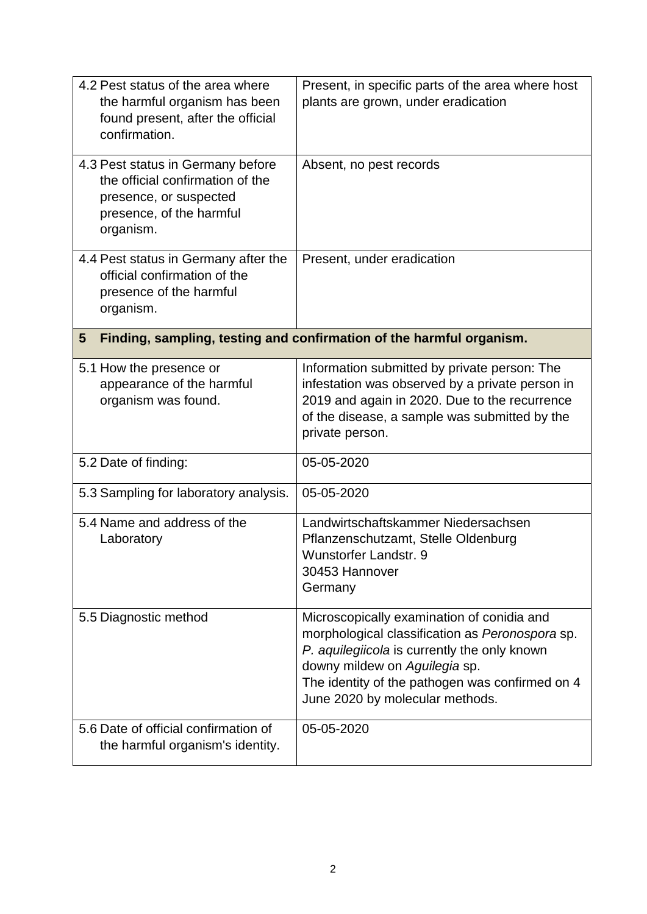| 4.2 Pest status of the area where<br>the harmful organism has been<br>found present, after the official<br>confirmation.                 | Present, in specific parts of the area where host<br>plants are grown, under eradication                                                                                                                                                                             |  |  |
|------------------------------------------------------------------------------------------------------------------------------------------|----------------------------------------------------------------------------------------------------------------------------------------------------------------------------------------------------------------------------------------------------------------------|--|--|
| 4.3 Pest status in Germany before<br>the official confirmation of the<br>presence, or suspected<br>presence, of the harmful<br>organism. | Absent, no pest records                                                                                                                                                                                                                                              |  |  |
| 4.4 Pest status in Germany after the<br>official confirmation of the<br>presence of the harmful<br>organism.                             | Present, under eradication                                                                                                                                                                                                                                           |  |  |
| Finding, sampling, testing and confirmation of the harmful organism.<br>$5\phantom{.0}$                                                  |                                                                                                                                                                                                                                                                      |  |  |
| 5.1 How the presence or<br>appearance of the harmful<br>organism was found.                                                              | Information submitted by private person: The<br>infestation was observed by a private person in<br>2019 and again in 2020. Due to the recurrence<br>of the disease, a sample was submitted by the<br>private person.                                                 |  |  |
| 5.2 Date of finding:                                                                                                                     | 05-05-2020                                                                                                                                                                                                                                                           |  |  |
| 5.3 Sampling for laboratory analysis.                                                                                                    | 05-05-2020                                                                                                                                                                                                                                                           |  |  |
| 5.4 Name and address of the<br>Laboratory                                                                                                | Landwirtschaftskammer Niedersachsen<br>Pflanzenschutzamt, Stelle Oldenburg<br><b>Wunstorfer Landstr. 9</b><br>30453 Hannover<br>Germany                                                                                                                              |  |  |
| 5.5 Diagnostic method                                                                                                                    | Microscopically examination of conidia and<br>morphological classification as Peronospora sp.<br>P. aquilegiicola is currently the only known<br>downy mildew on Aguilegia sp.<br>The identity of the pathogen was confirmed on 4<br>June 2020 by molecular methods. |  |  |
| 5.6 Date of official confirmation of<br>the harmful organism's identity.                                                                 | 05-05-2020                                                                                                                                                                                                                                                           |  |  |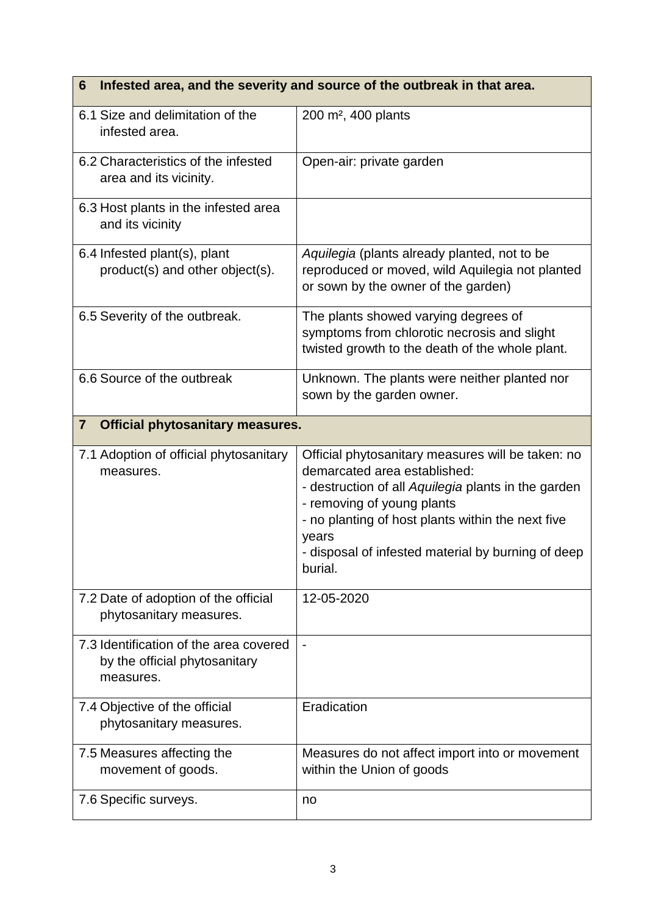| Infested area, and the severity and source of the outbreak in that area.<br>6        |                                                                                                                                                                                                                                                                                                       |  |
|--------------------------------------------------------------------------------------|-------------------------------------------------------------------------------------------------------------------------------------------------------------------------------------------------------------------------------------------------------------------------------------------------------|--|
| 6.1 Size and delimitation of the<br>infested area.                                   | 200 m <sup>2</sup> , 400 plants                                                                                                                                                                                                                                                                       |  |
| 6.2 Characteristics of the infested<br>area and its vicinity.                        | Open-air: private garden                                                                                                                                                                                                                                                                              |  |
| 6.3 Host plants in the infested area<br>and its vicinity                             |                                                                                                                                                                                                                                                                                                       |  |
| 6.4 Infested plant(s), plant<br>product(s) and other object(s).                      | Aquilegia (plants already planted, not to be<br>reproduced or moved, wild Aquilegia not planted<br>or sown by the owner of the garden)                                                                                                                                                                |  |
| 6.5 Severity of the outbreak.                                                        | The plants showed varying degrees of<br>symptoms from chlorotic necrosis and slight<br>twisted growth to the death of the whole plant.                                                                                                                                                                |  |
| 6.6 Source of the outbreak                                                           | Unknown. The plants were neither planted nor<br>sown by the garden owner.                                                                                                                                                                                                                             |  |
| $\overline{7}$<br><b>Official phytosanitary measures.</b>                            |                                                                                                                                                                                                                                                                                                       |  |
| 7.1 Adoption of official phytosanitary<br>measures.                                  | Official phytosanitary measures will be taken: no<br>demarcated area established:<br>- destruction of all Aquilegia plants in the garden<br>- removing of young plants<br>- no planting of host plants within the next five<br>years<br>- disposal of infested material by burning of deep<br>burial. |  |
| 7.2 Date of adoption of the official<br>phytosanitary measures.                      | 12-05-2020                                                                                                                                                                                                                                                                                            |  |
| 7.3 Identification of the area covered<br>by the official phytosanitary<br>measures. |                                                                                                                                                                                                                                                                                                       |  |
| 7.4 Objective of the official<br>phytosanitary measures.                             | Eradication                                                                                                                                                                                                                                                                                           |  |
| 7.5 Measures affecting the<br>movement of goods.                                     | Measures do not affect import into or movement<br>within the Union of goods                                                                                                                                                                                                                           |  |
| 7.6 Specific surveys.                                                                | no                                                                                                                                                                                                                                                                                                    |  |